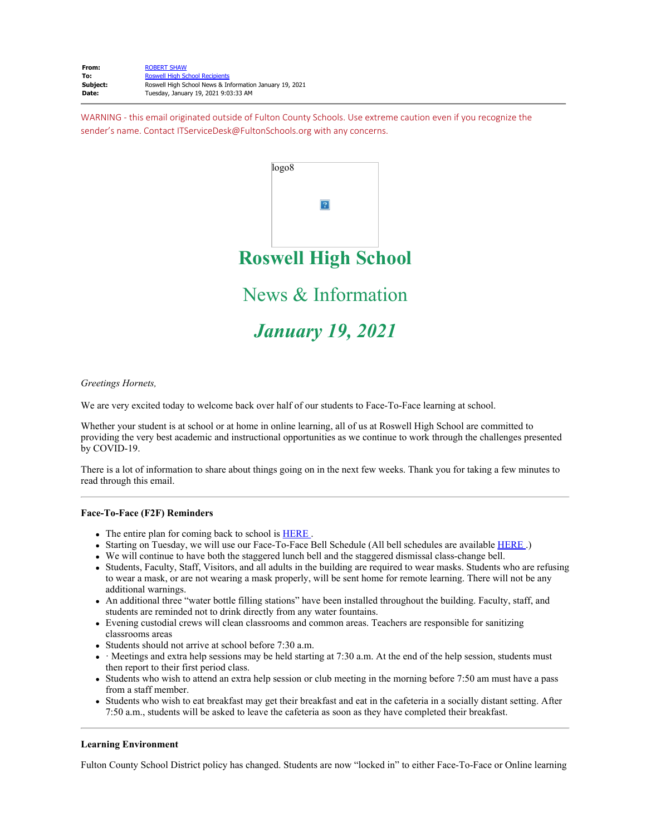| From:    | <b>ROBERT SHAW</b>                                      |
|----------|---------------------------------------------------------|
| To:      | <b>Roswell High School Recipients</b>                   |
| Subject: | Roswell High School News & Information January 19, 2021 |
| Date:    | Tuesday, January 19, 2021 9:03:33 AM                    |

WARNING - this email originated outside of Fulton County Schools. Use extreme caution even if you recognize the sender's name. Contact ITServiceDesk@FultonSchools.org with any concerns.



*Greetings Hornets,* 

We are very excited today to welcome back over half of our students to Face-To-Face learning at school.

Whether your student is at school or at home in online learning, all of us at Roswell High School are committed to providing the very best academic and instructional opportunities as we continue to work through the challenges presented by COVID-19.

There is a lot of information to share about things going on in the next few weeks. Thank you for taking a few minutes to read through this email.

### **Face-To-Face (F2F) Reminders**

- The entire plan for coming back to school is **[HERE](https://nam11.safelinks.protection.outlook.com/?url=http%3A%2F%2Fnew.shawadmin.com%2FRoswell%2FPublic%2FF2FPlan1-13-21.pdf&data=04%7C01%7Cmurphys%40fultonschools.org%7C5540ead7d42c42cb096008d8bc82de05%7C0cdcb19881694b70ba9fda7e3ba700c2%7C1%7C0%7C637466618130183795%7CUnknown%7CTWFpbGZsb3d8eyJWIjoiMC4wLjAwMDAiLCJQIjoiV2luMzIiLCJBTiI6Ik1haWwiLCJXVCI6Mn0%3D%7C1000&sdata=vmlnQ%2B%2BBZ38pF%2BquepbTixT%2FdkYAW7dyZ2oUysb9Vig%3D&reserved=0)**.
- Starting on Tuesday, we will use our Face-To-Face Bell Schedule (All bell schedules are available [HERE](https://nam11.safelinks.protection.outlook.com/?url=http%3A%2F%2Fnew.shawadmin.com%2FRoswell%2FPublic%2Fbellschedules.pdf&data=04%7C01%7Cmurphys%40fultonschools.org%7C5540ead7d42c42cb096008d8bc82de05%7C0cdcb19881694b70ba9fda7e3ba700c2%7C1%7C0%7C637466618130183795%7CUnknown%7CTWFpbGZsb3d8eyJWIjoiMC4wLjAwMDAiLCJQIjoiV2luMzIiLCJBTiI6Ik1haWwiLCJXVCI6Mn0%3D%7C1000&sdata=jgU5bG0htha1HJD%2FsDnk5pbEJsb4LLloNlMEVo3uCC0%3D&reserved=0) .)
- We will continue to have both the staggered lunch bell and the staggered dismissal class-change bell.
- Students, Faculty, Staff, Visitors, and all adults in the building are required to wear masks. Students who are refusing to wear a mask, or are not wearing a mask properly, will be sent home for remote learning. There will not be any additional warnings.
- An additional three "water bottle filling stations" have been installed throughout the building. Faculty, staff, and students are reminded not to drink directly from any water fountains.
- Evening custodial crews will clean classrooms and common areas. Teachers are responsible for sanitizing classrooms areas
- Students should not arrive at school before 7:30 a.m.
- Meetings and extra help sessions may be held starting at 7:30 a.m. At the end of the help session, students must then report to their first period class.
- Students who wish to attend an extra help session or club meeting in the morning before 7:50 am must have a pass from a staff member.
- Students who wish to eat breakfast may get their breakfast and eat in the cafeteria in a socially distant setting. After 7:50 a.m., students will be asked to leave the cafeteria as soon as they have completed their breakfast.

### **Learning Environment**

Fulton County School District policy has changed. Students are now "locked in" to either Face-To-Face or Online learning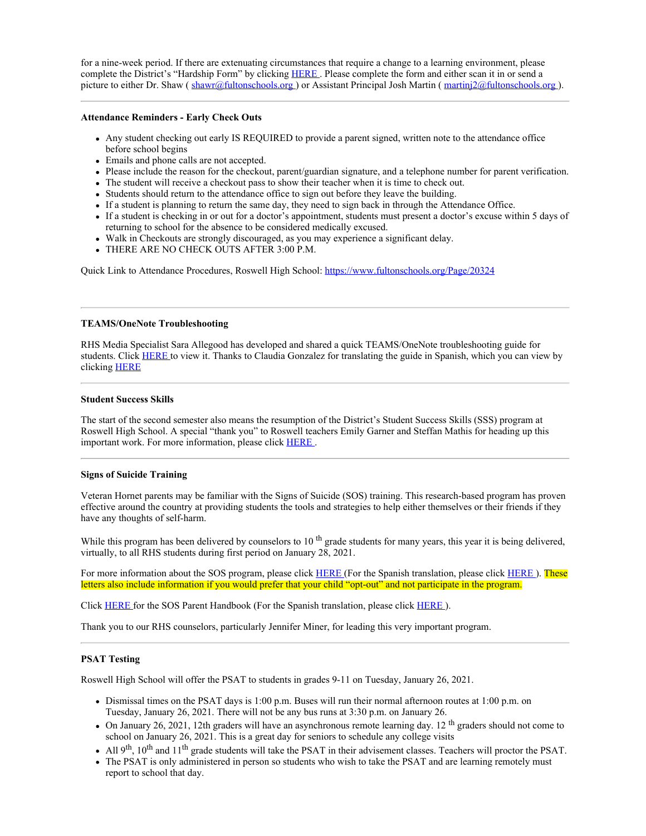for a nine-week period. If there are extenuating circumstances that require a change to a learning environment, please complete the District's "Hardship Form" by clicking [HERE](https://www.fultonschools.org/cms/lib/GA50000114/Centricity/ModuleInstance/34745/Learning%20Environment%20Hardship.pdf) . Please complete the form and either scan it in or send a picture to either Dr. Shaw ( [shawr@fultonschools.org](mailto:shawr@fultonschools.org) ) or Assistant Principal Josh Martin ( [martinj2@fultonschools.org](mailto:martinj2@fultonschools.org) ).

### **Attendance Reminders - Early Check Outs**

- Any student checking out early IS REQUIRED to provide a parent signed, written note to the attendance office before school begins
- Emails and phone calls are not accepted.
- Please include the reason for the checkout, parent/guardian signature, and a telephone number for parent verification.
- The student will receive a checkout pass to show their teacher when it is time to check out.
- Students should return to the attendance office to sign out before they leave the building.
- If a student is planning to return the same day, they need to sign back in through the Attendance Office.
- If a student is checking in or out for a doctor's appointment, students must present a doctor's excuse within 5 days of returning to school for the absence to be considered medically excused.
- Walk in Checkouts are strongly discouraged, as you may experience a significant delay.
- THERE ARE NO CHECK OUTS AFTER 3:00 P.M.

Quick Link to Attendance Procedures, Roswell High School: <https://www.fultonschools.org/Page/20324>

### **TEAMS/OneNote Troubleshooting**

RHS Media Specialist Sara Allegood has developed and shared a quick TEAMS/OneNote troubleshooting guide for students. Click [HERE](https://nam11.safelinks.protection.outlook.com/?url=http%3A%2F%2Fnew.shawadmin.com%2FRoswell%2FPublic%2FFirstStepsTech.pdf&data=04%7C01%7Cmurphys%40fultonschools.org%7C5540ead7d42c42cb096008d8bc82de05%7C0cdcb19881694b70ba9fda7e3ba700c2%7C1%7C0%7C637466618130193789%7CUnknown%7CTWFpbGZsb3d8eyJWIjoiMC4wLjAwMDAiLCJQIjoiV2luMzIiLCJBTiI6Ik1haWwiLCJXVCI6Mn0%3D%7C1000&sdata=h2ufhf0zntJzSWDdHwKUP3BdiTt3FWKjpsmJYtmTFU4%3D&reserved=0) to view it. Thanks to Claudia Gonzalez for translating the guide in Spanish, which you can view by clicking [HERE](https://nam11.safelinks.protection.outlook.com/?url=http%3A%2F%2Fnew.shawadmin.com%2FRoswell%2FPublic%2FFirstStepsTechSpanish.pdf&data=04%7C01%7Cmurphys%40fultonschools.org%7C5540ead7d42c42cb096008d8bc82de05%7C0cdcb19881694b70ba9fda7e3ba700c2%7C1%7C0%7C637466618130203783%7CUnknown%7CTWFpbGZsb3d8eyJWIjoiMC4wLjAwMDAiLCJQIjoiV2luMzIiLCJBTiI6Ik1haWwiLCJXVCI6Mn0%3D%7C1000&sdata=0YjqVSgDzYpj9UNs1uAB35zjSDTgKrRvLE%2BN1BDF%2F8c%3D&reserved=0)

### **Student Success Skills**

The start of the second semester also means the resumption of the District's Student Success Skills (SSS) program at Roswell High School. A special "thank you" to Roswell teachers Emily Garner and Steffan Mathis for heading up this important work. For more information, please click [HERE](https://nam11.safelinks.protection.outlook.com/?url=http%3A%2F%2Fnew.shawadmin.com%2FRoswell%2FPublic%2FStudentSkillsIntro2.pdf&data=04%7C01%7Cmurphys%40fultonschools.org%7C5540ead7d42c42cb096008d8bc82de05%7C0cdcb19881694b70ba9fda7e3ba700c2%7C1%7C0%7C637466618130203783%7CUnknown%7CTWFpbGZsb3d8eyJWIjoiMC4wLjAwMDAiLCJQIjoiV2luMzIiLCJBTiI6Ik1haWwiLCJXVCI6Mn0%3D%7C1000&sdata=py3cFgKQGW9F0Yd3sHKb%2Bd94uezIjk%2B8tVB5EWJoKpc%3D&reserved=0) .

### **Signs of Suicide Training**

Veteran Hornet parents may be familiar with the Signs of Suicide (SOS) training. This research-based program has proven effective around the country at providing students the tools and strategies to help either themselves or their friends if they have any thoughts of self-harm.

While this program has been delivered by counselors to  $10^{th}$  grade students for many years, this year it is being delivered, virtually, to all RHS students during first period on January 28, 2021.

For more information about the SOS program, please click [HERE](https://nam11.safelinks.protection.outlook.com/?url=http%3A%2F%2Fnew.shawadmin.com%2FRoswell%2FPublic%2FSOSParentLetterSpanish2020.pdf&data=04%7C01%7Cmurphys%40fultonschools.org%7C5540ead7d42c42cb096008d8bc82de05%7C0cdcb19881694b70ba9fda7e3ba700c2%7C1%7C0%7C637466618130213773%7CUnknown%7CTWFpbGZsb3d8eyJWIjoiMC4wLjAwMDAiLCJQIjoiV2luMzIiLCJBTiI6Ik1haWwiLCJXVCI6Mn0%3D%7C1000&sdata=6ytI9AmoRtrrRHtjg8pUV8YZhaxMkTDeIbPBIuqiaVw%3D&reserved=0) (For the Spanish translation, please click HERE). These letters also include information if you would prefer that your child "opt-out" and not participate in the program.

Click [HERE](https://nam11.safelinks.protection.outlook.com/?url=http%3A%2F%2Fnew.shawadmin.com%2FRoswell%2FPublic%2FSOSACTParentHandout2020.pdf&data=04%7C01%7Cmurphys%40fultonschools.org%7C5540ead7d42c42cb096008d8bc82de05%7C0cdcb19881694b70ba9fda7e3ba700c2%7C1%7C0%7C637466618130223771%7CUnknown%7CTWFpbGZsb3d8eyJWIjoiMC4wLjAwMDAiLCJQIjoiV2luMzIiLCJBTiI6Ik1haWwiLCJXVCI6Mn0%3D%7C1000&sdata=sX6Twhuz6HL5UCKA0NRZPXjvU%2B5194mBAA7wMfHHJro%3D&reserved=0) for the SOS Parent Handbook (For the Spanish translation, please click [HERE](https://nam11.safelinks.protection.outlook.com/?url=http%3A%2F%2Fnew.shawadmin.com%2FRoswell%2FPublic%2FSOSACTParentHandoutSpanish2020.pdf&data=04%7C01%7Cmurphys%40fultonschools.org%7C5540ead7d42c42cb096008d8bc82de05%7C0cdcb19881694b70ba9fda7e3ba700c2%7C1%7C0%7C637466618130223771%7CUnknown%7CTWFpbGZsb3d8eyJWIjoiMC4wLjAwMDAiLCJQIjoiV2luMzIiLCJBTiI6Ik1haWwiLCJXVCI6Mn0%3D%7C1000&sdata=SFKWUAJmSxTtRUmqF0yaTpY%2Bi8VKBxhK6M9rJ8Q8hlI%3D&reserved=0) ).

Thank you to our RHS counselors, particularly Jennifer Miner, for leading this very important program.

### **PSAT Testing**

Roswell High School will offer the PSAT to students in grades 9-11 on Tuesday, January 26, 2021.

- Dismissal times on the PSAT days is 1:00 p.m. Buses will run their normal afternoon routes at 1:00 p.m. on Tuesday, January 26, 2021. There will not be any bus runs at 3:30 p.m. on January 26.
- $\bullet$  On January 26, 2021, 12th graders will have an asynchronous remote learning day. 12<sup>th</sup> graders should not come to school on January 26, 2021. This is a great day for seniors to schedule any college visits
- All 9<sup>th</sup>, 10<sup>th</sup> and 11<sup>th</sup> grade students will take the PSAT in their advisement classes. Teachers will proctor the PSAT.
- The PSAT is only administered in person so students who wish to take the PSAT and are learning remotely must report to school that day.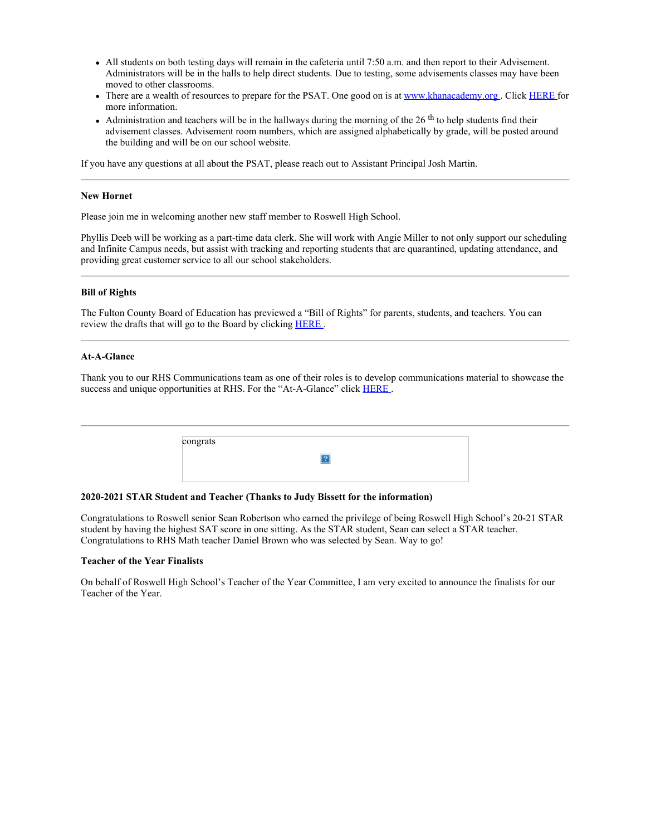- All students on both testing days will remain in the cafeteria until 7:50 a.m. and then report to their Advisement. Administrators will be in the halls to help direct students. Due to testing, some advisements classes may have been moved to other classrooms.
- There are a wealth of resources to prepare for the PSAT. One good on is at [www.khanacademy.org](https://nam11.safelinks.protection.outlook.com/?url=http%3A%2F%2Fwww.khanacademy.org%2F&data=04%7C01%7Cmurphys%40fultonschools.org%7C5540ead7d42c42cb096008d8bc82de05%7C0cdcb19881694b70ba9fda7e3ba700c2%7C1%7C0%7C637466618130233766%7CUnknown%7CTWFpbGZsb3d8eyJWIjoiMC4wLjAwMDAiLCJQIjoiV2luMzIiLCJBTiI6Ik1haWwiLCJXVCI6Mn0%3D%7C1000&sdata=DSy%2Bdu%2BGvKczg%2BKr7ah2suP0KMkxWDNSonkOlv7k0kM%3D&reserved=0). Click [HERE](https://nam11.safelinks.protection.outlook.com/?url=https%3A%2F%2Fwww.khanacademy.org%2Ftest-prep%2Fsat%2Fnew-sat-tips-planning%2Fnew-sat-how-to-prep%2Fa%2Ffull-length-psat-nmsqt&data=04%7C01%7Cmurphys%40fultonschools.org%7C5540ead7d42c42cb096008d8bc82de05%7C0cdcb19881694b70ba9fda7e3ba700c2%7C1%7C0%7C637466618130233766%7CUnknown%7CTWFpbGZsb3d8eyJWIjoiMC4wLjAwMDAiLCJQIjoiV2luMzIiLCJBTiI6Ik1haWwiLCJXVCI6Mn0%3D%7C1000&sdata=M%2B8xiSSGGS%2FnElGtVApmB%2F66sPuwAHZ6QyPBa5fCaIQ%3D&reserved=0) for more information.
- Administration and teachers will be in the hallways during the morning of the  $26<sup>th</sup>$  to help students find their advisement classes. Advisement room numbers, which are assigned alphabetically by grade, will be posted around the building and will be on our school website.

If you have any questions at all about the PSAT, please reach out to Assistant Principal Josh Martin.

### **New Hornet**

Please join me in welcoming another new staff member to Roswell High School.

Phyllis Deeb will be working as a part-time data clerk. She will work with Angie Miller to not only support our scheduling and Infinite Campus needs, but assist with tracking and reporting students that are quarantined, updating attendance, and providing great customer service to all our school stakeholders.

### **Bill of Rights**

The Fulton County Board of Education has previewed a "Bill of Rights" for parents, students, and teachers. You can review the drafts that will go to the Board by clicking [HERE](https://nam11.safelinks.protection.outlook.com/?url=http%3A%2F%2Fgo.boarddocs.com%2Fga%2Ffcss%2FBoard.nsf%2Fgoto%3Fopen%26id%3DBWYLJ656AA9C&data=04%7C01%7Cmurphys%40fultonschools.org%7C5540ead7d42c42cb096008d8bc82de05%7C0cdcb19881694b70ba9fda7e3ba700c2%7C1%7C0%7C637466618130243761%7CUnknown%7CTWFpbGZsb3d8eyJWIjoiMC4wLjAwMDAiLCJQIjoiV2luMzIiLCJBTiI6Ik1haWwiLCJXVCI6Mn0%3D%7C1000&sdata=85O4PbYkugWxrLEL0gZ%2BLgq4r8ARVvO%2BBziq7xuggSo%3D&reserved=0).

### **At-A-Glance**

Thank you to our RHS Communications team as one of their roles is to develop communications material to showcase the success and unique opportunities at RHS. For the "At-A-Glance" click **[HERE](https://www.fultonschools.org/cms/lib/GA50000114/Centricity/Domain/7454/RHS%20At%20a%20glance%202020.pdf)**.

| congrats |  |
|----------|--|
|          |  |
|          |  |

### **2020-2021 STAR Student and Teacher (Thanks to Judy Bissett for the information)**

Congratulations to Roswell senior Sean Robertson who earned the privilege of being Roswell High School's 20-21 STAR student by having the highest SAT score in one sitting. As the STAR student, Sean can select a STAR teacher. Congratulations to RHS Math teacher Daniel Brown who was selected by Sean. Way to go!

### **Teacher of the Year Finalists**

On behalf of Roswell High School's Teacher of the Year Committee, I am very excited to announce the finalists for our Teacher of the Year.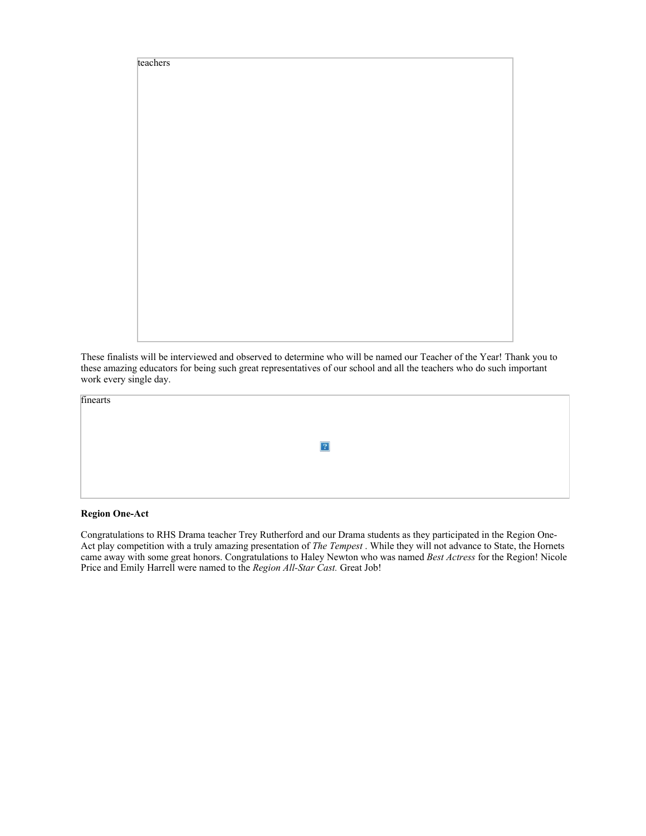

These finalists will be interviewed and observed to determine who will be named our Teacher of the Year! Thank you to these amazing educators for being such great representatives of our school and all the teachers who do such important work every single day.

 $\sqrt{2}$ 

finearts

## **Region One-Act**

Congratulations to RHS Drama teacher Trey Rutherford and our Drama students as they participated in the Region One-Act play competition with a truly amazing presentation of *The Tempest* . While they will not advance to State, the Hornets came away with some great honors. Congratulations to Haley Newton who was named *Best Actress* for the Region! Nicole Price and Emily Harrell were named to the *Region All-Star Cast.* Great Job!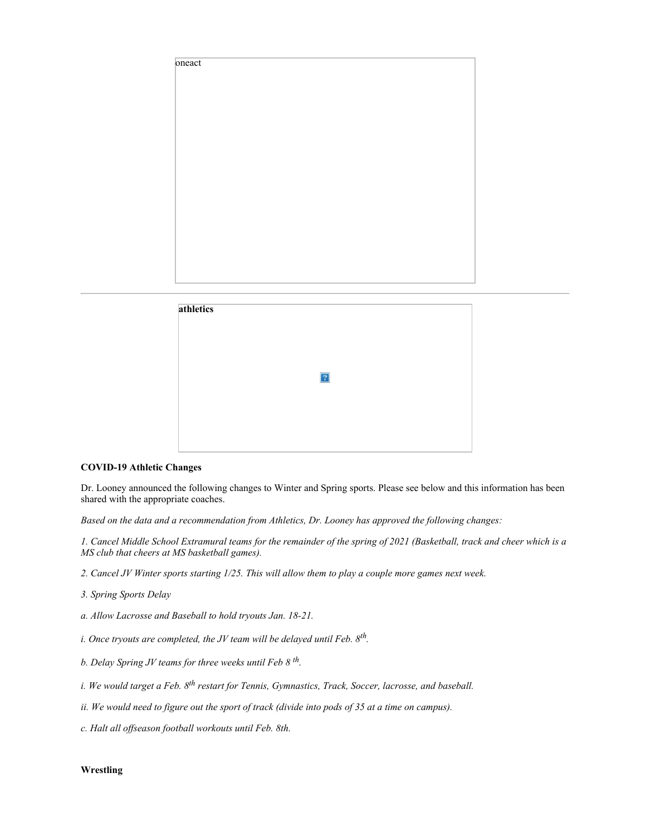



### **COVID-19 Athletic Changes**

Dr. Looney announced the following changes to Winter and Spring sports. Please see below and this information has been shared with the appropriate coaches.

*Based on the data and a recommendation from Athletics, Dr. Looney has approved the following changes:*

*1. Cancel Middle School Extramural teams for the remainder of the spring of 2021 (Basketball, track and cheer which is a MS club that cheers at MS basketball games).*

- *2. Cancel JV Winter sports starting 1/25. This will allow them to play a couple more games next week.*
- *3. Spring Sports Delay*
- *a. Allow Lacrosse and Baseball to hold tryouts Jan. 18-21.*
- *i. Once tryouts are completed, the JV team will be delayed until Feb. 8th.*
- *b. Delay Spring JV teams for three weeks until Feb 8 th.*
- *i. We would target a Feb. 8th restart for Tennis, Gymnastics, Track, Soccer, lacrosse, and baseball.*
- *ii. We would need to figure out the sport of track (divide into pods of 35 at a time on campus).*
- *c. Halt all offseason football workouts until Feb. 8th.*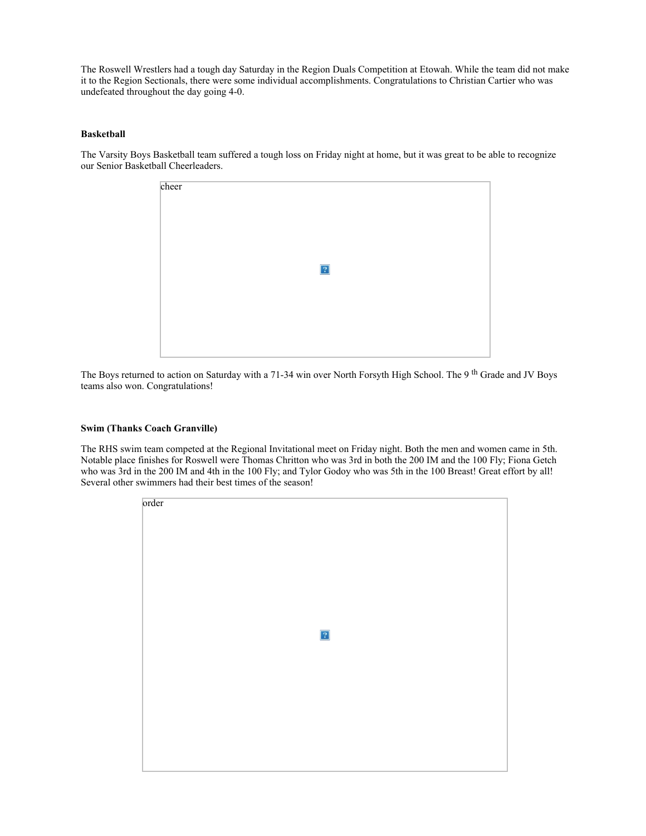The Roswell Wrestlers had a tough day Saturday in the Region Duals Competition at Etowah. While the team did not make it to the Region Sectionals, there were some individual accomplishments. Congratulations to Christian Cartier who was undefeated throughout the day going 4-0.

### **Basketball**

The Varsity Boys Basketball team suffered a tough loss on Friday night at home, but it was great to be able to recognize our Senior Basketball Cheerleaders.

| cheer |  |            |  |  |
|-------|--|------------|--|--|
|       |  | $\sqrt{2}$ |  |  |
|       |  |            |  |  |
|       |  |            |  |  |

The Boys returned to action on Saturday with a 71-34 win over North Forsyth High School. The 9<sup>th</sup> Grade and JV Boys teams also won. Congratulations!

### **Swim (Thanks Coach Granville)**

The RHS swim team competed at the Regional Invitational meet on Friday night. Both the men and women came in 5th. Notable place finishes for Roswell were Thomas Chritton who was 3rd in both the 200 IM and the 100 Fly; Fiona Getch who was 3rd in the 200 IM and 4th in the 100 Fly; and Tylor Godoy who was 5th in the 100 Breast! Great effort by all! Several other swimmers had their best times of the season!

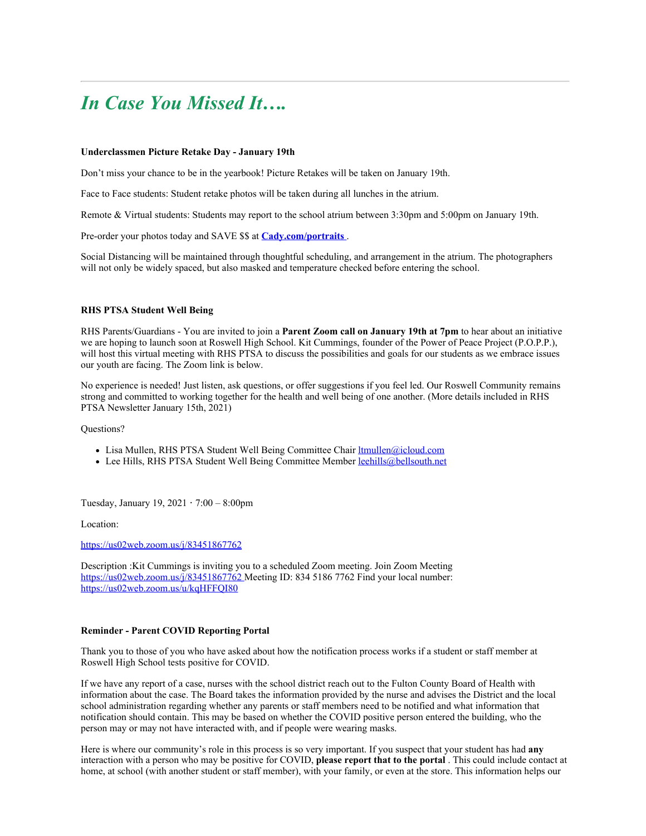# *In Case You Missed It….*

### **Underclassmen Picture Retake Day - January 19th**

Don't miss your chance to be in the yearbook! Picture Retakes will be taken on January 19th.

Face to Face students: Student retake photos will be taken during all lunches in the atrium.

Remote & Virtual students: Students may report to the school atrium between 3:30pm and 5:00pm on January 19th.

Pre-order your photos today and SAVE \$\$ at **[Cady.com/portraits](https://nam11.safelinks.protection.outlook.com/?url=https%3A%2F%2Fstore.cady.com%2Funderclass&data=04%7C01%7Cmurphys%40fultonschools.org%7C5540ead7d42c42cb096008d8bc82de05%7C0cdcb19881694b70ba9fda7e3ba700c2%7C1%7C0%7C637466618130243761%7CUnknown%7CTWFpbGZsb3d8eyJWIjoiMC4wLjAwMDAiLCJQIjoiV2luMzIiLCJBTiI6Ik1haWwiLCJXVCI6Mn0%3D%7C1000&sdata=yuExK8DokaA2Oj%2BfrKAcEP9AWM8Nbyrx0ND2gbuL1Iw%3D&reserved=0)** .

Social Distancing will be maintained through thoughtful scheduling, and arrangement in the atrium. The photographers will not only be widely spaced, but also masked and temperature checked before entering the school.

### **RHS PTSA Student Well Being**

RHS Parents/Guardians - You are invited to join a **Parent Zoom call on January 19th at 7pm** to hear about an initiative we are hoping to launch soon at Roswell High School. Kit Cummings, founder of the Power of Peace Project (P.O.P.P.), will host this virtual meeting with RHS PTSA to discuss the possibilities and goals for our students as we embrace issues our youth are facing. The Zoom link is below.

No experience is needed! Just listen, ask questions, or offer suggestions if you feel led. Our Roswell Community remains strong and committed to working together for the health and well being of one another. (More details included in RHS PTSA Newsletter January 15th, 2021)

Questions?

- Lisa Mullen, RHS PTSA Student Well Being Committee Chair [ltmullen@icloud.com](mailto:ltmullen@icloud.com)
- Lee Hills, RHS PTSA Student Well Being Committee Member [leehills@bellsouth.net](mailto:leehills@bellsouth.net)

Tuesday, January 19, 2021 **⋅** 7:00 – 8:00pm

Location:

[https://us02web.zoom.us/j/83451867762](https://nam11.safelinks.protection.outlook.com/?url=https%3A%2F%2Fus02web.zoom.us%2Fj%2F83451867762&data=04%7C01%7Cmurphys%40fultonschools.org%7C5540ead7d42c42cb096008d8bc82de05%7C0cdcb19881694b70ba9fda7e3ba700c2%7C1%7C0%7C637466618130253756%7CUnknown%7CTWFpbGZsb3d8eyJWIjoiMC4wLjAwMDAiLCJQIjoiV2luMzIiLCJBTiI6Ik1haWwiLCJXVCI6Mn0%3D%7C1000&sdata=jNExC5lG2ysSJT7QKRb2oZuTsACvIxXUvTT%2FOANaa1w%3D&reserved=0)

Description :Kit Cummings is inviting you to a scheduled Zoom meeting. Join Zoom Meeting [https://us02web.zoom.us/j/83451867762](https://nam11.safelinks.protection.outlook.com/?url=https%3A%2F%2Fwww.google.com%2Furl%3Fq%3Dhttps%3A%2F%2Fus02web.zoom.us%2Fj%2F83451867762%26sa%3DD%26source%3Dcalendar%26usd%3D2%26usg%3DAOvVaw3Pkf5flYqbf7kZlaWQngEL&data=04%7C01%7Cmurphys%40fultonschools.org%7C5540ead7d42c42cb096008d8bc82de05%7C0cdcb19881694b70ba9fda7e3ba700c2%7C1%7C0%7C637466618130253756%7CUnknown%7CTWFpbGZsb3d8eyJWIjoiMC4wLjAwMDAiLCJQIjoiV2luMzIiLCJBTiI6Ik1haWwiLCJXVCI6Mn0%3D%7C1000&sdata=hc%2B7j%2FiVuziHqEq7iQvEd%2FGBwDOx9syorA%2BqTKGKsok%3D&reserved=0) Meeting ID: 834 5186 7762 Find your local number: [https://us02web.zoom.us/u/kqHFFQI80](https://nam11.safelinks.protection.outlook.com/?url=https%3A%2F%2Fwww.google.com%2Furl%3Fq%3Dhttps%3A%2F%2Fus02web.zoom.us%2Fu%2FkqHFFQI80%26sa%3DD%26source%3Dcalendar%26usd%3D2%26usg%3DAOvVaw1-c400AbVubtgSqMMPVq4W&data=04%7C01%7Cmurphys%40fultonschools.org%7C5540ead7d42c42cb096008d8bc82de05%7C0cdcb19881694b70ba9fda7e3ba700c2%7C1%7C0%7C637466618130263753%7CUnknown%7CTWFpbGZsb3d8eyJWIjoiMC4wLjAwMDAiLCJQIjoiV2luMzIiLCJBTiI6Ik1haWwiLCJXVCI6Mn0%3D%7C1000&sdata=3IrCcUvedyWxH0FlWuN6%2F7RiFVUbGn0AfjJl9jcO%2FN4%3D&reserved=0)

### **Reminder - Parent COVID Reporting Portal**

Thank you to those of you who have asked about how the notification process works if a student or staff member at Roswell High School tests positive for COVID.

If we have any report of a case, nurses with the school district reach out to the Fulton County Board of Health with information about the case. The Board takes the information provided by the nurse and advises the District and the local school administration regarding whether any parents or staff members need to be notified and what information that notification should contain. This may be based on whether the COVID positive person entered the building, who the person may or may not have interacted with, and if people were wearing masks.

Here is where our community's role in this process is so very important. If you suspect that your student has had **any** interaction with a person who may be positive for COVID, **please report that to the portal** . This could include contact at home, at school (with another student or staff member), with your family, or even at the store. This information helps our